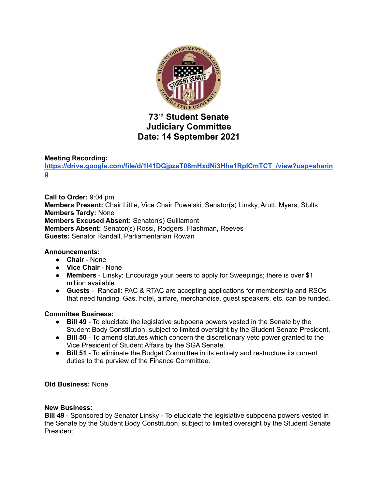

# **73 rd Student Senate Judiciary Committee Date: 14 September 2021**

# **Meeting Recording:**

**[https://drive.google.com/file/d/1l41DGjpzeT08mHxdNi3Hha1RpICmTCT\\_/view?usp=sharin](https://drive.google.com/file/d/1l41DGjpzeT08mHxdNi3Hha1RpICmTCT_/view?usp=sharing) [g](https://drive.google.com/file/d/1l41DGjpzeT08mHxdNi3Hha1RpICmTCT_/view?usp=sharing)**

**Call to Order:** 9:04 pm **Members Present:** Chair Little, Vice Chair Puwalski, Senator(s) Linsky, Arutt, Myers, Stults **Members Tardy:** None **Members Excused Absent:** Senator(s) Guillamont **Members Absent:** Senator(s) Rossi, Rodgers, Flashman, Reeves **Guests:** Senator Randall, Parliamentarian Rowan

### **Announcements:**

- **Chair** None
- **Vice Chair** None
- **Members** Linsky: Encourage your peers to apply for Sweepings; there is over \$1 million available
- **Guests** Randall: PAC & RTAC are accepting applications for membership and RSOs that need funding. Gas, hotel, airfare, merchandise, guest speakers, etc. can be funded.

### **Committee Business:**

- **● Bill 49** To elucidate the legislative subpoena powers vested in the Senate by the Student Body Constitution, subject to limited oversight by the Student Senate President.
- **● Bill 50** To amend statutes which concern the discretionary veto power granted to the Vice President of Student Affairs by the SGA Senate.
- **● Bill 51** To eliminate the Budget Committee in its entirety and restructure its current duties to the purview of the Finance Committee.

### **Old Business:** None

#### **New Business:**

**Bill 49** - Sponsored by Senator Linsky - To elucidate the legislative subpoena powers vested in the Senate by the Student Body Constitution, subject to limited oversight by the Student Senate President.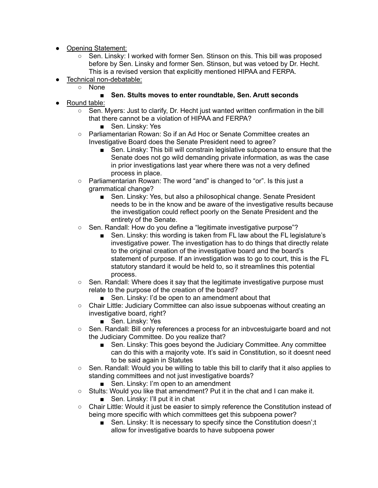- Opening Statement:
	- Sen. Linsky: I worked with former Sen. Stinson on this. This bill was proposed before by Sen. Linsky and former Sen. Stinson, but was vetoed by Dr. Hecht. This is a revised version that explicitly mentioned HIPAA and FERPA.
- Technical non-debatable:
	- None

# **■ Sen. Stults moves to enter roundtable, Sen. Arutt seconds**

- Round table:
	- $\circ$  Sen. Myers: Just to clarify, Dr. Hecht just wanted written confirmation in the bill that there cannot be a violation of HIPAA and FERPA?
		- Sen. Linsky: Yes
	- Parliamentarian Rowan: So if an Ad Hoc or Senate Committee creates an Investigative Board does the Senate President need to agree?
		- Sen. Linsky: This bill will constrain legislative subpoena to ensure that the Senate does not go wild demanding private information, as was the case in prior investigations last year where there was not a very defined process in place.
	- Parliamentarian Rowan: The word "and" is changed to "or". Is this just a grammatical change?
		- Sen. Linsky: Yes, but also a philosophical change. Senate President needs to be in the know and be aware of the investigative results because the investigation could reflect poorly on the Senate President and the entirety of the Senate.
	- Sen. Randall: How do you define a "legitimate investigative purpose"?
		- Sen. Linsky: this wording is taken from FL law about the FL legislature's investigative power. The investigation has to do things that directly relate to the original creation of the investigative board and the board's statement of purpose. If an investigation was to go to court, this is the FL statutory standard it would be held to, so it streamlines this potential process.
	- Sen. Randall: Where does it say that the legitimate investigative purpose must relate to the purpose of the creation of the board?
		- Sen. Linsky: I'd be open to an amendment about that
	- Chair Little: Judiciary Committee can also issue subpoenas without creating an investigative board, right?
		- Sen. Linsky: Yes
	- Sen. Randall: Bill only references a process for an inbvcestuigarte board and not the Judiciary Committee. Do you realize that?
		- Sen. Linsky: This goes beyond the Judiciary Committee. Any committee can do this with a majority vote. It's said in Constitution, so it doesnt need to be said again in Statutes
	- Sen. Randall: Would you be willing to table this bill to clarify that it also applies to standing committees and not just investigative boards?
		- Sen. Linsky: I'm open to an amendment
	- Stults: Would you like that amendment? Put it in the chat and I can make it.
		- Sen. Linsky: I'll put it in chat
	- Chair Little: Would it just be easier to simply reference the Constitution instead of being more specific with which committees get this subpoena power?
		- Sen. Linsky: It is necessary to specify since the Constitution doesn';t allow for investigative boards to have subpoena power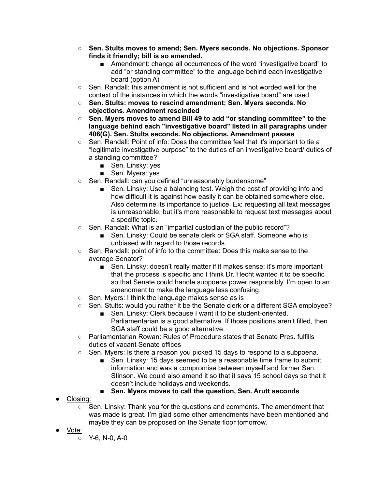- **○ Sen. Stults moves to amend; Sen. Myers seconds. No objections. Sponsor finds it friendly; bill is so amended.**
	- Amendment: change all occurrences of the word "investigative board" to add "or standing committee" to the language behind each investigative board (option A)
- Sen. Randall: this amendment is not sufficient and is not worded well for the context of the instances in which the words "investigative board" are used
- **○ Sen. Stults: moves to rescind amendment; Sen. Myers seconds. No objections. Amendment rescinded**
- **○ Sen. Myers moves to amend Bill 49 to add "or standing committee" to the language behind each "investigative board" listed in all paragraphs under 406(G). Sen. Stults seconds. No objections. Amendment passes**
- Sen. Randall: Point of info: Does the committee feel that it's important to tie a "legitimate investigative purpose" to the duties of an investigative board/ duties of a standing committee?
	- Sen. Linsky: yes
	- Sen. Myers: yes
- Sen. Randall: can you defined "unreasonably burdensome"
	- Sen. Linsky: Use a balancing test. Weigh the cost of providing info and how difficult it is against how easily it can be obtained somewhere else. Also determine its importance to justice. Ex: requesting all text messages is unreasonable, but it's more reasonable to request text messages about a specific topic.
- Sen. Randall: What is an "impartial custodian of the public record"?
	- Sen. Linsky: Could be senate clerk or SGA staff. Someone who is unbiased with regard to those records.
- Sen. Randall: point of info to the committee: Does this make sense to the average Senator?
	- Sen. Linsky: doesn't really matter if it makes sense; it's more important that the process is specific and I think Dr. Hecht wanted it to be specific so that Senate could handle subpoena power responsibly. I'm open to an amendment to make the language less confusing.
- Sen. Myers: I think the language makes sense as is
- Sen. Stults: would you rather it be the Senate clerk or a different SGA employee?
	- Sen. Linsky: Clerk because I want it to be student-oriented. Parliamentarian is a good alternative. If those positions aren't filled, then SGA staff could be a good alternative.
- Parliamentarian Rowan: Rules of Procedure states that Senate Pres. fulfills duties of vacant Senate offices
- Sen. Myers: Is there a reason you picked 15 days to respond to a subpoena.
	- Sen. Linsky: 15 days seemed to be a reasonable time frame to submit information and was a compromise between myself and former Sen. Stinson. We could also amend it so that it says 15 school days so that it doesn't include holidays and weekends.
	- **■ Sen. Myers moves to call the question, Sen. Arutt seconds**
- <u>Closing:</u>
	- Sen. Linsky: Thank you for the questions and comments. The amendment that was made is great. I'm glad some other amendments have been mentioned and maybe they can be proposed on the Senate floor tomorrow.
- Vote:
	- Y-6, N-0, A-0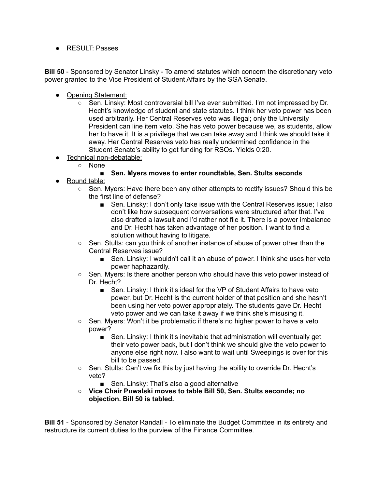● RESULT: Passes

**Bill 50** - Sponsored by Senator Linsky - To amend statutes which concern the discretionary veto power granted to the Vice President of Student Affairs by the SGA Senate.

- Opening Statement:
	- Sen. Linsky: Most controversial bill I've ever submitted. I'm not impressed by Dr. Hecht's knowledge of student and state statutes. I think her veto power has been used arbitrarily. Her Central Reserves veto was illegal; only the University President can line item veto. She has veto power because we, as students, allow her to have it. It is a privilege that we can take away and I think we should take it away. Her Central Reserves veto has really undermined confidence in the Student Senate's ability to get funding for RSOs. Yields 0:20.
- Technical non-debatable:
	- None

# **■ Sen. Myers moves to enter roundtable, Sen. Stults seconds**

- Round table:
	- Sen. Myers: Have there been any other attempts to rectify issues? Should this be the first line of defense?
		- Sen. Linsky: I don't only take issue with the Central Reserves issue; I also don't like how subsequent conversations were structured after that. I've also drafted a lawsuit and I'd rather not file it. There is a power imbalance and Dr. Hecht has taken advantage of her position. I want to find a solution without having to litigate.
	- Sen. Stults: can you think of another instance of abuse of power other than the Central Reserves issue?
		- Sen. Linsky: I wouldn't call it an abuse of power. I think she uses her veto power haphazardly.
	- Sen. Myers: Is there another person who should have this veto power instead of Dr. Hecht?
		- Sen. Linsky: I think it's ideal for the VP of Student Affairs to have veto power, but Dr. Hecht is the current holder of that position and she hasn't been using her veto power appropriately. The students gave Dr. Hecht veto power and we can take it away if we think she's misusing it.
	- $\circ$  Sen. Myers: Won't it be problematic if there's no higher power to have a veto power?
		- Sen. Linsky: I think it's inevitable that administration will eventually get their veto power back, but I don't think we should give the veto power to anyone else right now. I also want to wait until Sweepings is over for this bill to be passed.
	- Sen. Stults: Can't we fix this by just having the ability to override Dr. Hecht's veto?
		- Sen. Linsky: That's also a good alternative
	- **○ Vice Chair Puwalski moves to table Bill 50, Sen. Stults seconds; no objection. Bill 50 is tabled.**

**Bill 51** - Sponsored by Senator Randall - To eliminate the Budget Committee in its entirety and restructure its current duties to the purview of the Finance Committee.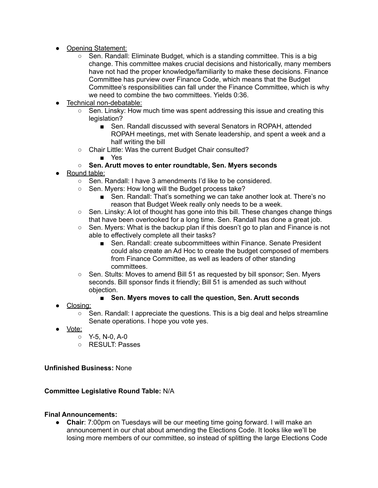- Opening Statement:
	- Sen. Randall: Eliminate Budget, which is a standing committee. This is a big change. This committee makes crucial decisions and historically, many members have not had the proper knowledge/familiarity to make these decisions. Finance Committee has purview over Finance Code, which means that the Budget Committee's responsibilities can fall under the Finance Committee, which is why we need to combine the two committees. Yields 0:36.
- Technical non-debatable:
	- $\circ$  Sen. Linsky: How much time was spent addressing this issue and creating this legislation?
		- Sen. Randall discussed with several Senators in ROPAH, attended ROPAH meetings, met with Senate leadership, and spent a week and a half writing the bill
	- Chair Little: Was the current Budget Chair consulted?
		- Yes

# **○ Sen. Arutt moves to enter roundtable, Sen. Myers seconds**

- Round table:
	- Sen. Randall: I have 3 amendments I'd like to be considered.
	- Sen. Myers: How long will the Budget process take?
		- Sen. Randall: That's something we can take another look at. There's no reason that Budget Week really only needs to be a week.
	- $\circ$  Sen. Linsky: A lot of thought has gone into this bill. These changes change things that have been overlooked for a long time. Sen. Randall has done a great job.
	- $\circ$  Sen. Myers: What is the backup plan if this doesn't go to plan and Finance is not able to effectively complete all their tasks?
		- Sen. Randall: create subcommittees within Finance. Senate President could also create an Ad Hoc to create the budget composed of members from Finance Committee, as well as leaders of other standing committees.
	- Sen. Stults: Moves to amend Bill 51 as requested by bill sponsor; Sen. Myers seconds. Bill sponsor finds it friendly; Bill 51 is amended as such without objection.

# **■ Sen. Myers moves to call the question, Sen. Arutt seconds**

- Closing:
	- $\circ$  Sen. Randall: I appreciate the questions. This is a big deal and helps streamline Senate operations. I hope you vote yes.
- Vote:
	- Y-5, N-0, A-0
	- RESULT: Passes

**Unfinished Business:** None

### **Committee Legislative Round Table:** N/A

### **Final Announcements:**

● **Chair**: 7:00pm on Tuesdays will be our meeting time going forward. I will make an announcement in our chat about amending the Elections Code. It looks like we'll be losing more members of our committee, so instead of splitting the large Elections Code